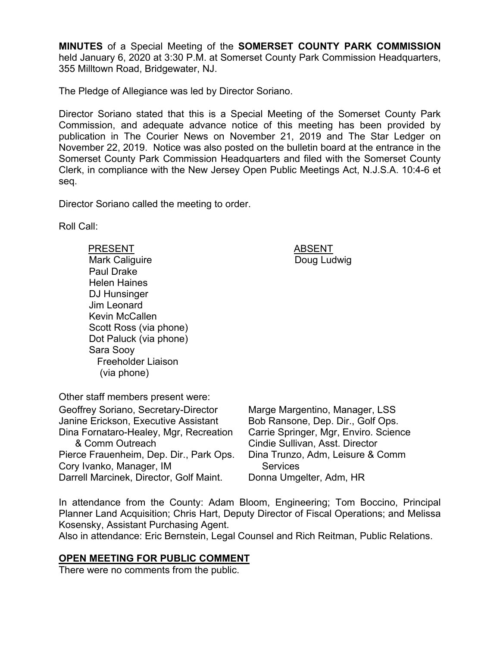**MINUTES** of a Special Meeting of the **SOMERSET COUNTY PARK COMMISSION** held January 6, 2020 at 3:30 P.M. at Somerset County Park Commission Headquarters, 355 Milltown Road, Bridgewater, NJ.

The Pledge of Allegiance was led by Director Soriano.

Director Soriano stated that this is a Special Meeting of the Somerset County Park Commission, and adequate advance notice of this meeting has been provided by publication in The Courier News on November 21, 2019 and The Star Ledger on November 22, 2019. Notice was also posted on the bulletin board at the entrance in the Somerset County Park Commission Headquarters and filed with the Somerset County Clerk, in compliance with the New Jersey Open Public Meetings Act, N.J.S.A. 10:4-6 et seq.

Director Soriano called the meeting to order.

Roll Call:

PRESENT ABSENT

Mark Caliguire Paul Drake Helen Haines DJ Hunsinger Jim Leonard Kevin McCallen Scott Ross (via phone) Dot Paluck (via phone) Sara Sooy Freeholder Liaison (via phone)

Doug Ludwig

Other staff members present were: Geoffrey Soriano, Secretary-Director Janine Erickson, Executive Assistant Dina Fornataro-Healey, Mgr, Recreation & Comm Outreach Pierce Frauenheim, Dep. Dir., Park Ops. Cory Ivanko, Manager, IM Darrell Marcinek, Director, Golf Maint.

Marge Margentino, Manager, LSS Bob Ransone, Dep. Dir., Golf Ops. Carrie Springer, Mgr, Enviro. Science Cindie Sullivan, Asst. Director Dina Trunzo, Adm, Leisure & Comm **Services** Donna Umgelter, Adm, HR

In attendance from the County: Adam Bloom, Engineering; Tom Boccino, Principal Planner Land Acquisition; Chris Hart, Deputy Director of Fiscal Operations; and Melissa Kosensky, Assistant Purchasing Agent.

Also in attendance: Eric Bernstein, Legal Counsel and Rich Reitman, Public Relations.

### **OPEN MEETING FOR PUBLIC COMMENT**

There were no comments from the public.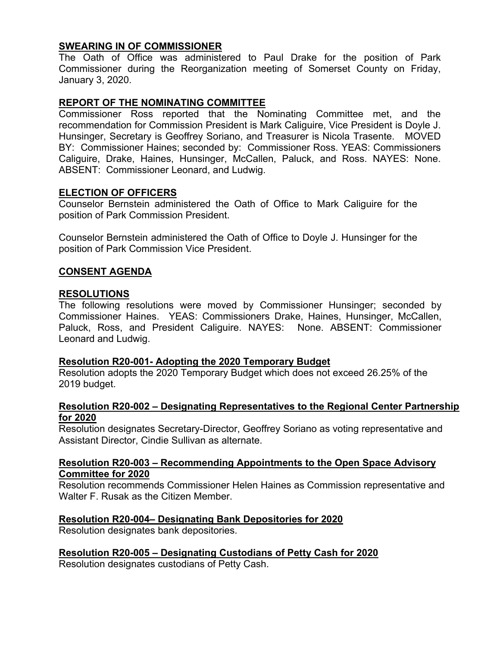# **SWEARING IN OF COMMISSIONER**

The Oath of Office was administered to Paul Drake for the position of Park Commissioner during the Reorganization meeting of Somerset County on Friday, January 3, 2020.

# **REPORT OF THE NOMINATING COMMITTEE**

Commissioner Ross reported that the Nominating Committee met, and the recommendation for Commission President is Mark Caliguire, Vice President is Doyle J. Hunsinger, Secretary is Geoffrey Soriano, and Treasurer is Nicola Trasente. MOVED BY: Commissioner Haines; seconded by: Commissioner Ross. YEAS: Commissioners Caliguire, Drake, Haines, Hunsinger, McCallen, Paluck, and Ross. NAYES: None. ABSENT: Commissioner Leonard, and Ludwig.

#### **ELECTION OF OFFICERS**

Counselor Bernstein administered the Oath of Office to Mark Caliguire for the position of Park Commission President.

Counselor Bernstein administered the Oath of Office to Doyle J. Hunsinger for the position of Park Commission Vice President.

### **CONSENT AGENDA**

#### **RESOLUTIONS**

The following resolutions were moved by Commissioner Hunsinger; seconded by Commissioner Haines. YEAS: Commissioners Drake, Haines, Hunsinger, McCallen, Paluck, Ross, and President Caliguire. NAYES: None. ABSENT: Commissioner Leonard and Ludwig.

### **Resolution R20-001- Adopting the 2020 Temporary Budget**

Resolution adopts the 2020 Temporary Budget which does not exceed 26.25% of the 2019 budget.

#### **Resolution R20-002 – Designating Representatives to the Regional Center Partnership for 2020**

Resolution designates Secretary-Director, Geoffrey Soriano as voting representative and Assistant Director, Cindie Sullivan as alternate.

#### **Resolution R20-003 – Recommending Appointments to the Open Space Advisory Committee for 2020**

Resolution recommends Commissioner Helen Haines as Commission representative and Walter F. Rusak as the Citizen Member.

### **Resolution R20-004– Designating Bank Depositories for 2020**

Resolution designates bank depositories.

### **Resolution R20-005 – Designating Custodians of Petty Cash for 2020**

Resolution designates custodians of Petty Cash.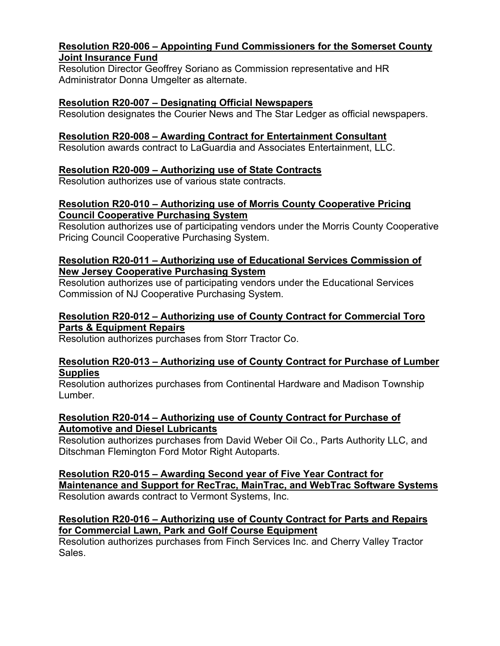### **Resolution R20-006 – Appointing Fund Commissioners for the Somerset County Joint Insurance Fund**

Resolution Director Geoffrey Soriano as Commission representative and HR Administrator Donna Umgelter as alternate.

# **Resolution R20-007 – Designating Official Newspapers**

Resolution designates the Courier News and The Star Ledger as official newspapers.

# **Resolution R20-008 – Awarding Contract for Entertainment Consultant**

Resolution awards contract to LaGuardia and Associates Entertainment, LLC.

# **Resolution R20-009 – Authorizing use of State Contracts**

Resolution authorizes use of various state contracts.

# **Resolution R20-010 – Authorizing use of Morris County Cooperative Pricing Council Cooperative Purchasing System**

Resolution authorizes use of participating vendors under the Morris County Cooperative Pricing Council Cooperative Purchasing System.

# **Resolution R20-011 – Authorizing use of Educational Services Commission of New Jersey Cooperative Purchasing System**

Resolution authorizes use of participating vendors under the Educational Services Commission of NJ Cooperative Purchasing System.

### **Resolution R20-012 – Authorizing use of County Contract for Commercial Toro Parts & Equipment Repairs**

Resolution authorizes purchases from Storr Tractor Co.

# **Resolution R20-013 – Authorizing use of County Contract for Purchase of Lumber Supplies**

Resolution authorizes purchases from Continental Hardware and Madison Township Lumber.

# **Resolution R20-014 – Authorizing use of County Contract for Purchase of Automotive and Diesel Lubricants**

Resolution authorizes purchases from David Weber Oil Co., Parts Authority LLC, and Ditschman Flemington Ford Motor Right Autoparts.

**Resolution R20-015 – Awarding Second year of Five Year Contract for Maintenance and Support for RecTrac, MainTrac, and WebTrac Software Systems**  Resolution awards contract to Vermont Systems, Inc.

### **Resolution R20-016 – Authorizing use of County Contract for Parts and Repairs for Commercial Lawn, Park and Golf Course Equipment**

Resolution authorizes purchases from Finch Services Inc. and Cherry Valley Tractor Sales.